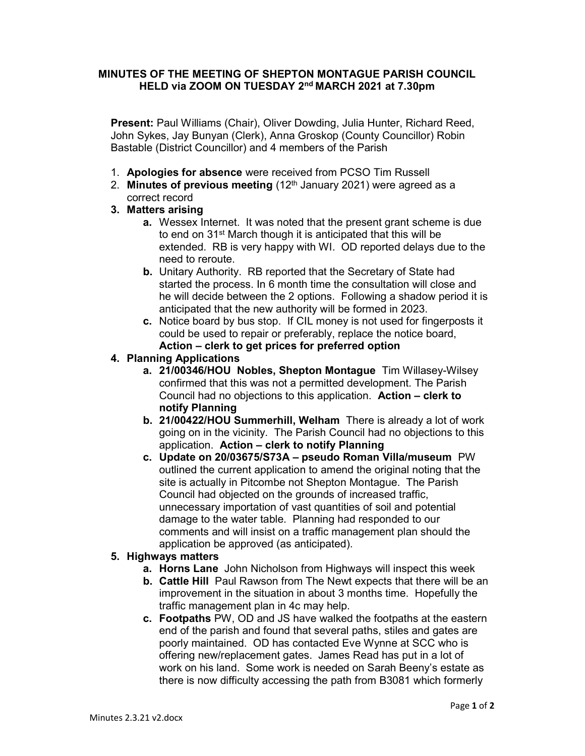## MINUTES OF THE MEETING OF SHEPTON MONTAGUE PARISH COUNCIL HELD via ZOOM ON TUESDAY 2nd MARCH 2021 at 7.30pm

Present: Paul Williams (Chair), Oliver Dowding, Julia Hunter, Richard Reed, John Sykes, Jay Bunyan (Clerk), Anna Groskop (County Councillor) Robin Bastable (District Councillor) and 4 members of the Parish

- 1. Apologies for absence were received from PCSO Tim Russell
- 2. Minutes of previous meeting  $(12<sup>th</sup>$  January 2021) were agreed as a correct record

## 3. Matters arising

- **a.** Wessex Internet. It was noted that the present grant scheme is due to end on 31<sup>st</sup> March though it is anticipated that this will be extended. RB is very happy with WI. OD reported delays due to the need to reroute.
- b. Unitary Authority. RB reported that the Secretary of State had started the process. In 6 month time the consultation will close and he will decide between the 2 options. Following a shadow period it is anticipated that the new authority will be formed in 2023.
- c. Notice board by bus stop. If CIL money is not used for fingerposts it could be used to repair or preferably, replace the notice board, Action – clerk to get prices for preferred option

## 4. Planning Applications

- a. 21/00346/HOU Nobles, Shepton Montague Tim Willasey-Wilsey confirmed that this was not a permitted development. The Parish Council had no objections to this application. Action – clerk to notify Planning
- b. 21/00422/HOU Summerhill, Welham There is already a lot of work going on in the vicinity. The Parish Council had no objections to this application. Action – clerk to notify Planning
- c. Update on 20/03675/S73A pseudo Roman Villa/museum PW outlined the current application to amend the original noting that the site is actually in Pitcombe not Shepton Montague. The Parish Council had objected on the grounds of increased traffic, unnecessary importation of vast quantities of soil and potential damage to the water table. Planning had responded to our comments and will insist on a traffic management plan should the application be approved (as anticipated).

## 5. Highways matters

- a. Horns Lane John Nicholson from Highways will inspect this week
- b. Cattle Hill Paul Rawson from The Newt expects that there will be an improvement in the situation in about 3 months time. Hopefully the traffic management plan in 4c may help.
- c. Footpaths PW, OD and JS have walked the footpaths at the eastern end of the parish and found that several paths, stiles and gates are poorly maintained. OD has contacted Eve Wynne at SCC who is offering new/replacement gates. James Read has put in a lot of work on his land. Some work is needed on Sarah Beeny's estate as there is now difficulty accessing the path from B3081 which formerly